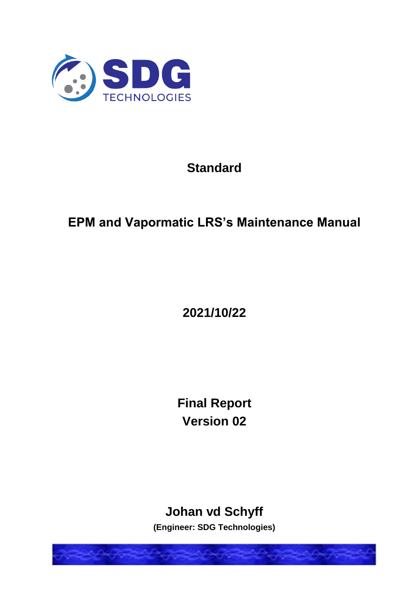

# **Standard**

# **EPM and Vapormatic LRS's Maintenance Manual**

**2021/10/22**

**Final Report Version 02**

# **Johan vd Schyff**

**(Engineer: SDG Technologies)**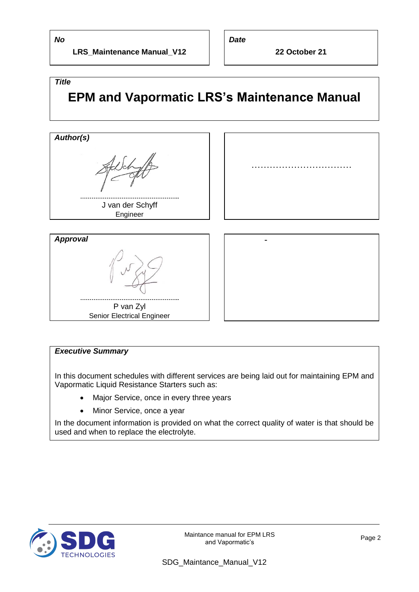*No*

*Title*

**LRS\_Maintenance Manual\_V12**

*Date*

**22 October 21**

# **EPM and Vapormatic LRS's Maintenance Manual**



#### *Executive Summary*

In this document schedules with different services are being laid out for maintaining EPM and Vapormatic Liquid Resistance Starters such as:

- Major Service, once in every three years
- Minor Service, once a year

In the document information is provided on what the correct quality of water is that should be used and when to replace the electrolyte.



Maintance manual for EPM LRS nce manual for EPM LRS<br>and Vapormatic's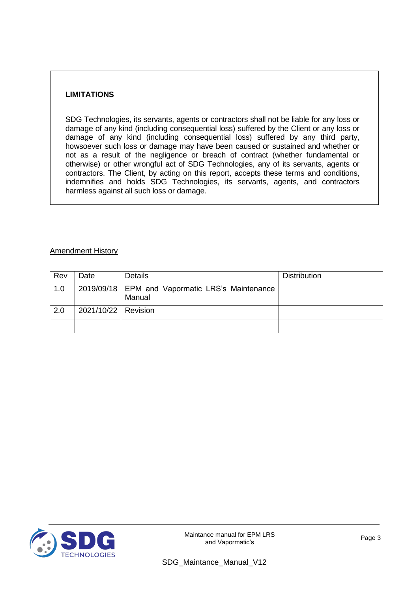#### **LIMITATIONS**

SDG Technologies, its servants, agents or contractors shall not be liable for any loss or damage of any kind (including consequential loss) suffered by the Client or any loss or damage of any kind (including consequential loss) suffered by any third party, howsoever such loss or damage may have been caused or sustained and whether or not as a result of the negligence or breach of contract (whether fundamental or otherwise) or other wrongful act of SDG Technologies, any of its servants, agents or contractors. The Client, by acting on this report, accepts these terms and conditions, indemnifies and holds SDG Technologies, its servants, agents, and contractors harmless against all such loss or damage.

#### Amendment History

| Rev | Date                  | <b>Details</b>                                              | <b>Distribution</b> |
|-----|-----------------------|-------------------------------------------------------------|---------------------|
| 1.0 |                       | 2019/09/18   EPM and Vapormatic LRS's Maintenance<br>Manual |                     |
| 2.0 | 2021/10/22   Revision |                                                             |                     |
|     |                       |                                                             |                     |

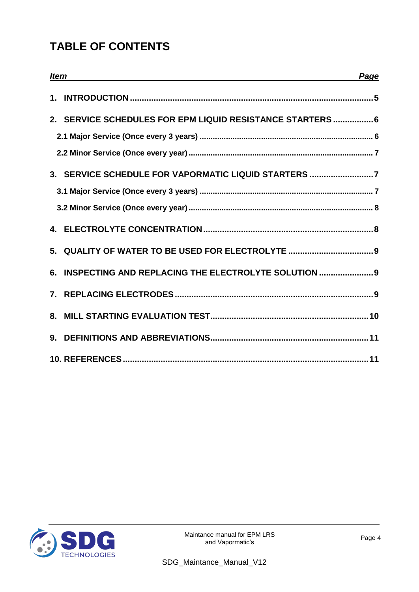## **TABLE OF CONTENTS**

| <b>Item</b> | <u> 1989 - Johann Stoff, deutscher Stoff, der Stoff, der Stoff, der Stoff, der Stoff, der Stoff, der Stoff, der S</u> | Page |
|-------------|-----------------------------------------------------------------------------------------------------------------------|------|
|             |                                                                                                                       |      |
|             | 2. SERVICE SCHEDULES FOR EPM LIQUID RESISTANCE STARTERS 6                                                             |      |
|             |                                                                                                                       |      |
|             |                                                                                                                       |      |
|             | 3. SERVICE SCHEDULE FOR VAPORMATIC LIQUID STARTERS 7                                                                  |      |
|             |                                                                                                                       |      |
|             |                                                                                                                       |      |
|             |                                                                                                                       |      |
|             | 5. QUALITY OF WATER TO BE USED FOR ELECTROLYTE  9                                                                     |      |
|             | 6. INSPECTING AND REPLACING THE ELECTROLYTE SOLUTION  9                                                               |      |
|             |                                                                                                                       |      |
|             |                                                                                                                       |      |
|             |                                                                                                                       |      |
|             |                                                                                                                       |      |

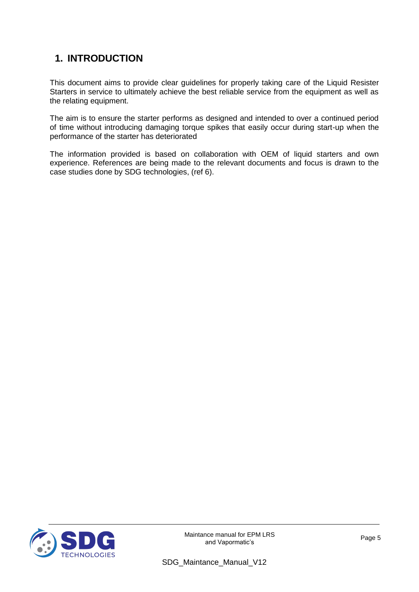## **1. INTRODUCTION**

This document aims to provide clear guidelines for properly taking care of the Liquid Resister Starters in service to ultimately achieve the best reliable service from the equipment as well as the relating equipment.

The aim is to ensure the starter performs as designed and intended to over a continued period of time without introducing damaging torque spikes that easily occur during start-up when the performance of the starter has deteriorated

The information provided is based on collaboration with OEM of liquid starters and own experience. References are being made to the relevant documents and focus is drawn to the case studies done by SDG technologies, (ref 6).



Maintance manual for EPM LRS nce manual for EPM LRS<br>and Vapormatic's Page 5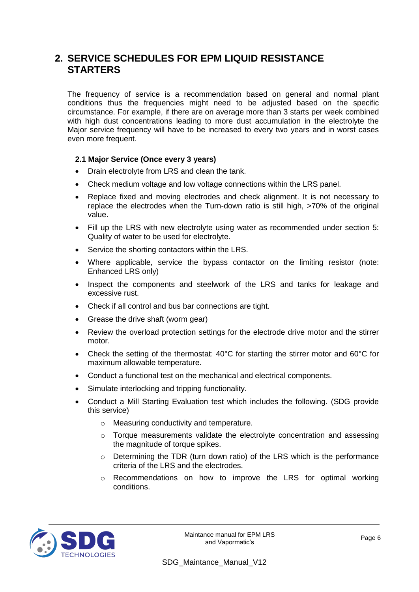#### **2. SERVICE SCHEDULES FOR EPM LIQUID RESISTANCE STARTERS**

The frequency of service is a recommendation based on general and normal plant conditions thus the frequencies might need to be adjusted based on the specific circumstance. For example, if there are on average more than 3 starts per week combined with high dust concentrations leading to more dust accumulation in the electrolyte the Major service frequency will have to be increased to every two years and in worst cases even more frequent.

#### **2.1 Major Service (Once every 3 years)**

- Drain electrolyte from LRS and clean the tank.
- Check medium voltage and low voltage connections within the LRS panel.
- Replace fixed and moving electrodes and check alignment. It is not necessary to replace the electrodes when the Turn-down ratio is still high, >70% of the original value.
- Fill up the LRS with new electrolyte using water as recommended under section 5: Quality of water to be used for electrolyte.
- Service the shorting contactors within the LRS.
- Where applicable, service the bypass contactor on the limiting resistor (note: Enhanced LRS only)
- Inspect the components and steelwork of the LRS and tanks for leakage and excessive rust.
- Check if all control and bus bar connections are tight.
- Grease the drive shaft (worm gear)
- Review the overload protection settings for the electrode drive motor and the stirrer motor.
- Check the setting of the thermostat: 40°C for starting the stirrer motor and 60°C for maximum allowable temperature.
- Conduct a functional test on the mechanical and electrical components.
- Simulate interlocking and tripping functionality.
- Conduct a Mill Starting Evaluation test which includes the following. (SDG provide this service)
	- o Measuring conductivity and temperature.
	- $\circ$  Torque measurements validate the electrolyte concentration and assessing the magnitude of torque spikes.
	- o Determining the TDR (turn down ratio) of the LRS which is the performance criteria of the LRS and the electrodes.
	- o Recommendations on how to improve the LRS for optimal working conditions.



Maintance manual for EPM LRS nce manual for EPM LRS<br>and Vapormatic's Page 6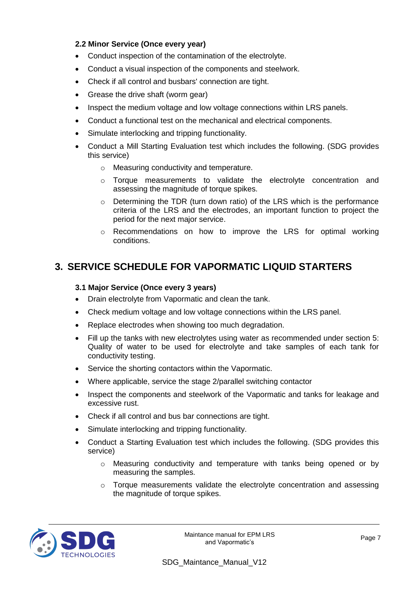#### **2.2 Minor Service (Once every year)**

- Conduct inspection of the contamination of the electrolyte.
- Conduct a visual inspection of the components and steelwork.
- Check if all control and busbars' connection are tight.
- Grease the drive shaft (worm gear)
- Inspect the medium voltage and low voltage connections within LRS panels.
- Conduct a functional test on the mechanical and electrical components.
- Simulate interlocking and tripping functionality.
- Conduct a Mill Starting Evaluation test which includes the following. (SDG provides this service)
	- o Measuring conductivity and temperature.
	- o Torque measurements to validate the electrolyte concentration and assessing the magnitude of torque spikes.
	- $\circ$  Determining the TDR (turn down ratio) of the LRS which is the performance criteria of the LRS and the electrodes, an important function to project the period for the next major service.
	- o Recommendations on how to improve the LRS for optimal working conditions.

#### **3. SERVICE SCHEDULE FOR VAPORMATIC LIQUID STARTERS**

#### **3.1 Major Service (Once every 3 years)**

- Drain electrolyte from Vapormatic and clean the tank.
- Check medium voltage and low voltage connections within the LRS panel.
- Replace electrodes when showing too much degradation.
- Fill up the tanks with new electrolytes using water as recommended under section 5: Quality of water to be used for electrolyte and take samples of each tank for conductivity testing.
- Service the shorting contactors within the Vapormatic.
- Where applicable, service the stage 2/parallel switching contactor
- Inspect the components and steelwork of the Vapormatic and tanks for leakage and excessive rust.
- Check if all control and bus bar connections are tight.
- Simulate interlocking and tripping functionality.
- Conduct a Starting Evaluation test which includes the following. (SDG provides this service)
	- o Measuring conductivity and temperature with tanks being opened or by measuring the samples.
	- $\circ$  Torque measurements validate the electrolyte concentration and assessing the magnitude of torque spikes.

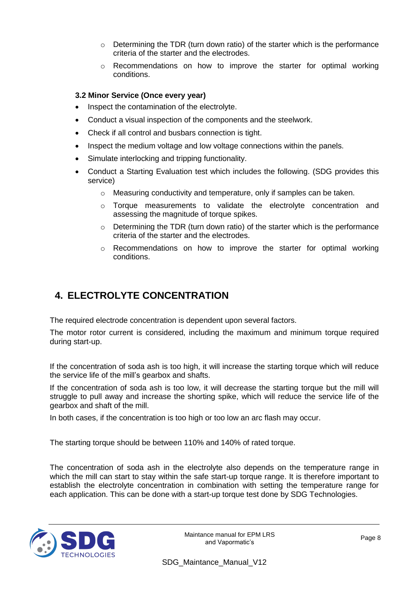- $\circ$  Determining the TDR (turn down ratio) of the starter which is the performance criteria of the starter and the electrodes.
- $\circ$  Recommendations on how to improve the starter for optimal working conditions.

#### **3.2 Minor Service (Once every year)**

- Inspect the contamination of the electrolyte.
- Conduct a visual inspection of the components and the steelwork.
- Check if all control and busbars connection is tight.
- Inspect the medium voltage and low voltage connections within the panels.
- Simulate interlocking and tripping functionality.
- Conduct a Starting Evaluation test which includes the following. (SDG provides this service)
	- $\circ$  Measuring conductivity and temperature, only if samples can be taken.
	- o Torque measurements to validate the electrolyte concentration and assessing the magnitude of torque spikes.
	- $\circ$  Determining the TDR (turn down ratio) of the starter which is the performance criteria of the starter and the electrodes.
	- $\circ$  Recommendations on how to improve the starter for optimal working conditions.

## **4. ELECTROLYTE CONCENTRATION**

The required electrode concentration is dependent upon several factors.

The motor rotor current is considered, including the maximum and minimum torque required during start-up.

If the concentration of soda ash is too high, it will increase the starting torque which will reduce the service life of the mill's gearbox and shafts.

If the concentration of soda ash is too low, it will decrease the starting torque but the mill will struggle to pull away and increase the shorting spike, which will reduce the service life of the gearbox and shaft of the mill.

In both cases, if the concentration is too high or too low an arc flash may occur.

The starting torque should be between 110% and 140% of rated torque.

The concentration of soda ash in the electrolyte also depends on the temperature range in which the mill can start to stay within the safe start-up torque range. It is therefore important to establish the electrolyte concentration in combination with setting the temperature range for each application. This can be done with a start-up torque test done by SDG Technologies.

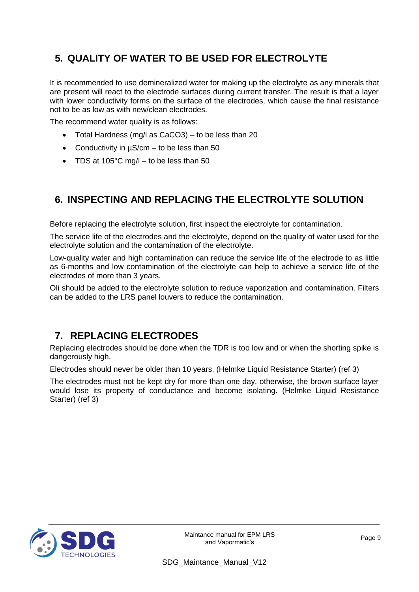## **5. QUALITY OF WATER TO BE USED FOR ELECTROLYTE**

It is recommended to use demineralized water for making up the electrolyte as any minerals that are present will react to the electrode surfaces during current transfer. The result is that a layer with lower conductivity forms on the surface of the electrodes, which cause the final resistance not to be as low as with new/clean electrodes.

The recommend water quality is as follows:

- Total Hardness (mg/l as CaCO3) to be less than 20
- Conductivity in  $\mu$ S/cm to be less than 50
- TDS at 105°C mg/l to be less than 50

### **6. INSPECTING AND REPLACING THE ELECTROLYTE SOLUTION**

Before replacing the electrolyte solution, first inspect the electrolyte for contamination.

The service life of the electrodes and the electrolyte, depend on the quality of water used for the electrolyte solution and the contamination of the electrolyte.

Low-quality water and high contamination can reduce the service life of the electrode to as little as 6-months and low contamination of the electrolyte can help to achieve a service life of the electrodes of more than 3 years.

Oli should be added to the electrolyte solution to reduce vaporization and contamination. Filters can be added to the LRS panel louvers to reduce the contamination.

### **7. REPLACING ELECTRODES**

Replacing electrodes should be done when the TDR is too low and or when the shorting spike is dangerously high.

Electrodes should never be older than 10 years. (Helmke Liquid Resistance Starter) (ref 3)

The electrodes must not be kept dry for more than one day, otherwise, the brown surface layer would lose its property of conductance and become isolating. (Helmke Liquid Resistance Starter) (ref 3)



Maintance manual for EPM LRS nce manual for EPM LRS<br>and Vapormatic's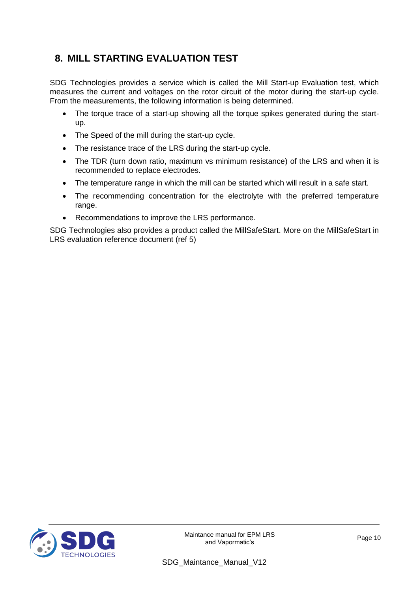## **8. MILL STARTING EVALUATION TEST**

SDG Technologies provides a service which is called the Mill Start-up Evaluation test, which measures the current and voltages on the rotor circuit of the motor during the start-up cycle. From the measurements, the following information is being determined.

- The torque trace of a start-up showing all the torque spikes generated during the startup.
- The Speed of the mill during the start-up cycle.
- The resistance trace of the LRS during the start-up cycle.
- The TDR (turn down ratio, maximum vs minimum resistance) of the LRS and when it is recommended to replace electrodes.
- The temperature range in which the mill can be started which will result in a safe start.
- The recommending concentration for the electrolyte with the preferred temperature range.
- Recommendations to improve the LRS performance.

SDG Technologies also provides a product called the MillSafeStart. More on the MillSafeStart in LRS evaluation reference document (ref 5)



Maintance manual for EPM LRS nce manual for EPM LRS<br>and Vapormatic's Page 10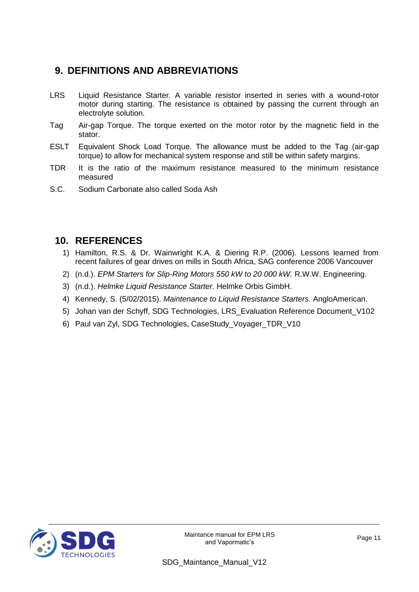## **9. DEFINITIONS AND ABBREVIATIONS**

- LRS Liquid Resistance Starter. A variable resistor inserted in series with a wound-rotor motor during starting. The resistance is obtained by passing the current through an electrolyte solution.
- Tag Air-gap Torque. The torque exerted on the motor rotor by the magnetic field in the stator.
- ESLT Equivalent Shock Load Torque. The allowance must be added to the Tag (air-gap torque) to allow for mechanical system response and still be within safety margins.
- TDR It is the ratio of the maximum resistance measured to the minimum resistance measured
- S.C. Sodium Carbonate also called Soda Ash

#### **10. REFERENCES**

- 1) Hamilton, R.S. & Dr. Wainwright K.A. & Diering R.P. (2006). Lessons learned from recent failures of gear drives on mills in South Africa, SAG conference 2006 Vancouver
- 2) (n.d.). *EPM Starters for Slip-Ring Motors 550 kW to 20 000 kW.* R.W.W. Engineering.
- 3) (n.d.). *Helmke Liquid Resistance Starter.* Helmke Orbis GimbH.
- 4) Kennedy, S. (5/02/2015). *Maintenance to Liquid Resistance Starters.* AngloAmerican.
- 5) Johan van der Schyff, SDG Technologies, LRS\_Evaluation Reference Document\_V102
- 6) Paul van Zyl, SDG Technologies, CaseStudy\_Voyager\_TDR\_V10